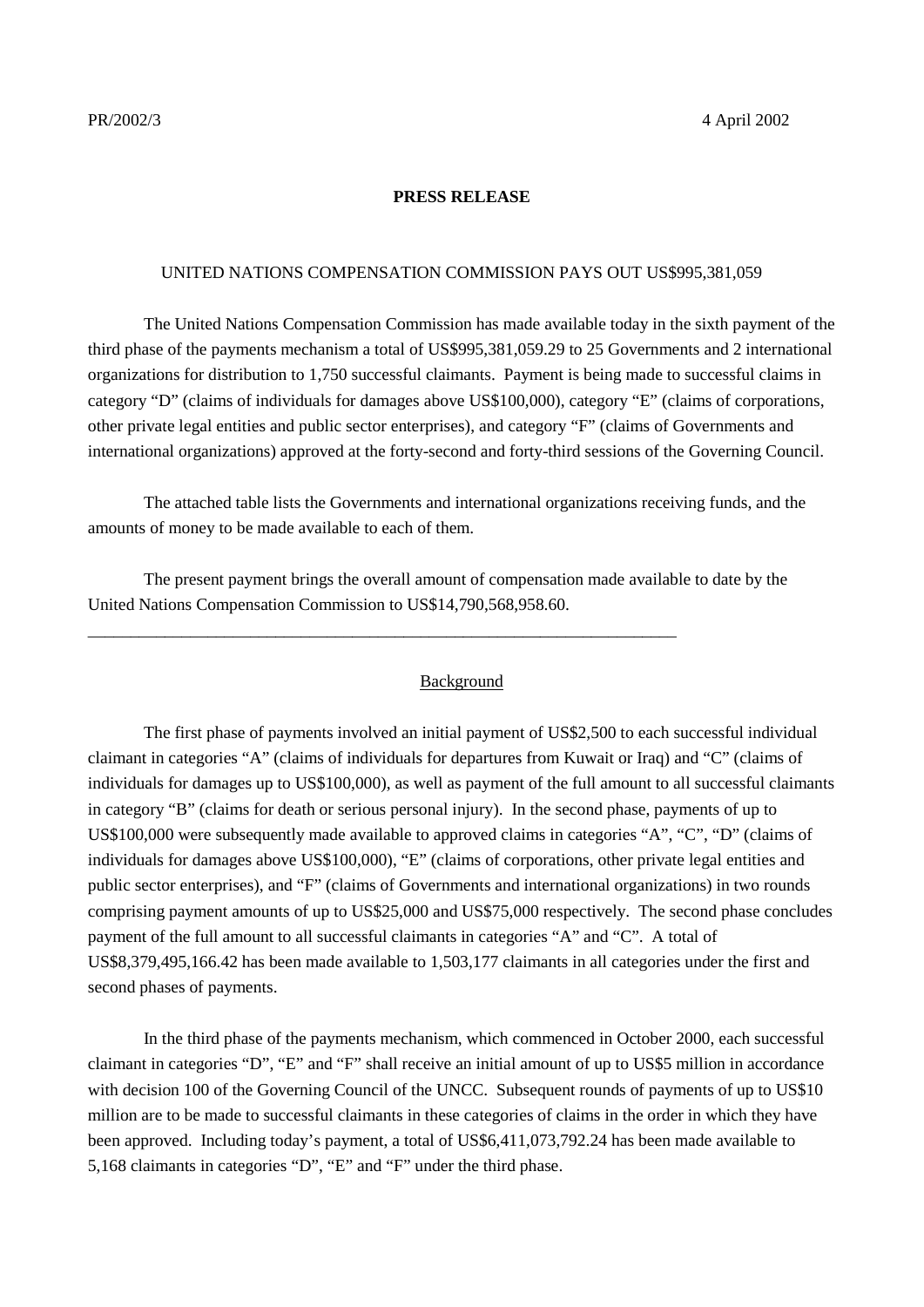## **PRESS RELEASE**

## UNITED NATIONS COMPENSATION COMMISSION PAYS OUT US\$995,381,059

The United Nations Compensation Commission has made available today in the sixth payment of the third phase of the payments mechanism a total of US\$995,381,059.29 to 25 Governments and 2 international organizations for distribution to 1,750 successful claimants. Payment is being made to successful claims in category "D" (claims of individuals for damages above US\$100,000), category "E" (claims of corporations, other private legal entities and public sector enterprises), and category "F" (claims of Governments and international organizations) approved at the forty-second and forty-third sessions of the Governing Council.

The attached table lists the Governments and international organizations receiving funds, and the amounts of money to be made available to each of them.

The present payment brings the overall amount of compensation made available to date by the United Nations Compensation Commission to US\$14,790,568,958.60.

\_\_\_\_\_\_\_\_\_\_\_\_\_\_\_\_\_\_\_\_\_\_\_\_\_\_\_\_\_\_\_\_\_\_\_\_\_\_\_\_\_\_\_\_\_\_\_\_\_\_\_\_\_\_\_\_\_\_\_\_\_\_\_\_\_\_\_\_\_

#### **Background**

The first phase of payments involved an initial payment of US\$2,500 to each successful individual claimant in categories "A" (claims of individuals for departures from Kuwait or Iraq) and "C" (claims of individuals for damages up to US\$100,000), as well as payment of the full amount to all successful claimants in category "B" (claims for death or serious personal injury). In the second phase, payments of up to US\$100,000 were subsequently made available to approved claims in categories "A", "C", "D" (claims of individuals for damages above US\$100,000), "E" (claims of corporations, other private legal entities and public sector enterprises), and "F" (claims of Governments and international organizations) in two rounds comprising payment amounts of up to US\$25,000 and US\$75,000 respectively. The second phase concludes payment of the full amount to all successful claimants in categories "A" and "C". A total of US\$8,379,495,166.42 has been made available to 1,503,177 claimants in all categories under the first and second phases of payments.

In the third phase of the payments mechanism, which commenced in October 2000, each successful claimant in categories "D", "E" and "F" shall receive an initial amount of up to US\$5 million in accordance with decision 100 of the Governing Council of the UNCC. Subsequent rounds of payments of up to US\$10 million are to be made to successful claimants in these categories of claims in the order in which they have been approved. Including today's payment, a total of US\$6,411,073,792.24 has been made available to 5,168 claimants in categories "D", "E" and "F" under the third phase.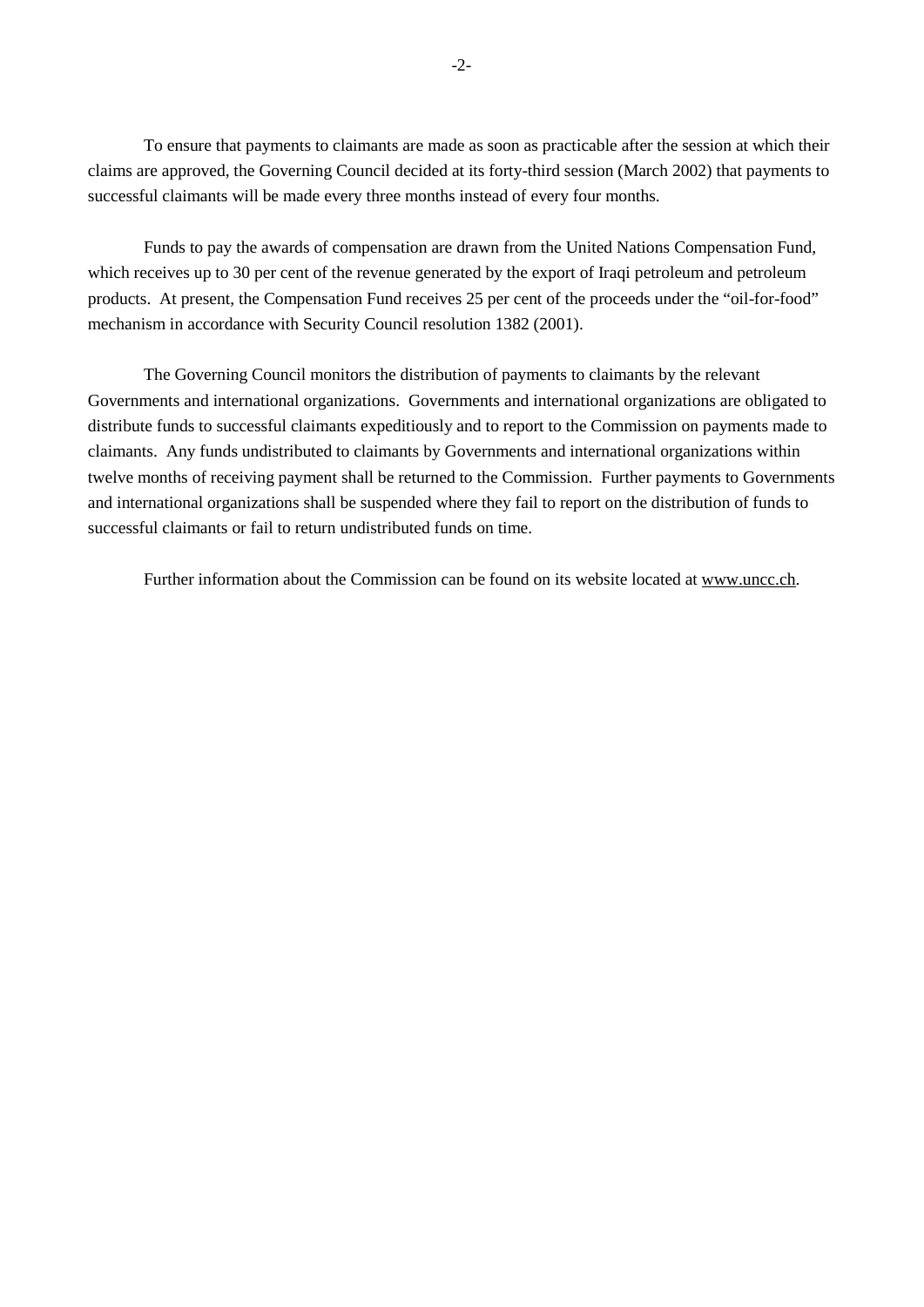To ensure that payments to claimants are made as soon as practicable after the session at which their claims are approved, the Governing Council decided at its forty-third session (March 2002) that payments to successful claimants will be made every three months instead of every four months.

Funds to pay the awards of compensation are drawn from the United Nations Compensation Fund, which receives up to 30 per cent of the revenue generated by the export of Iraqi petroleum and petroleum products. At present, the Compensation Fund receives 25 per cent of the proceeds under the "oil-for-food" mechanism in accordance with Security Council resolution 1382 (2001).

The Governing Council monitors the distribution of payments to claimants by the relevant Governments and international organizations. Governments and international organizations are obligated to distribute funds to successful claimants expeditiously and to report to the Commission on payments made to claimants. Any funds undistributed to claimants by Governments and international organizations within twelve months of receiving payment shall be returned to the Commission. Further payments to Governments and international organizations shall be suspended where they fail to report on the distribution of funds to successful claimants or fail to return undistributed funds on time.

Further information about the Commission can be found on its website located at www.uncc.ch.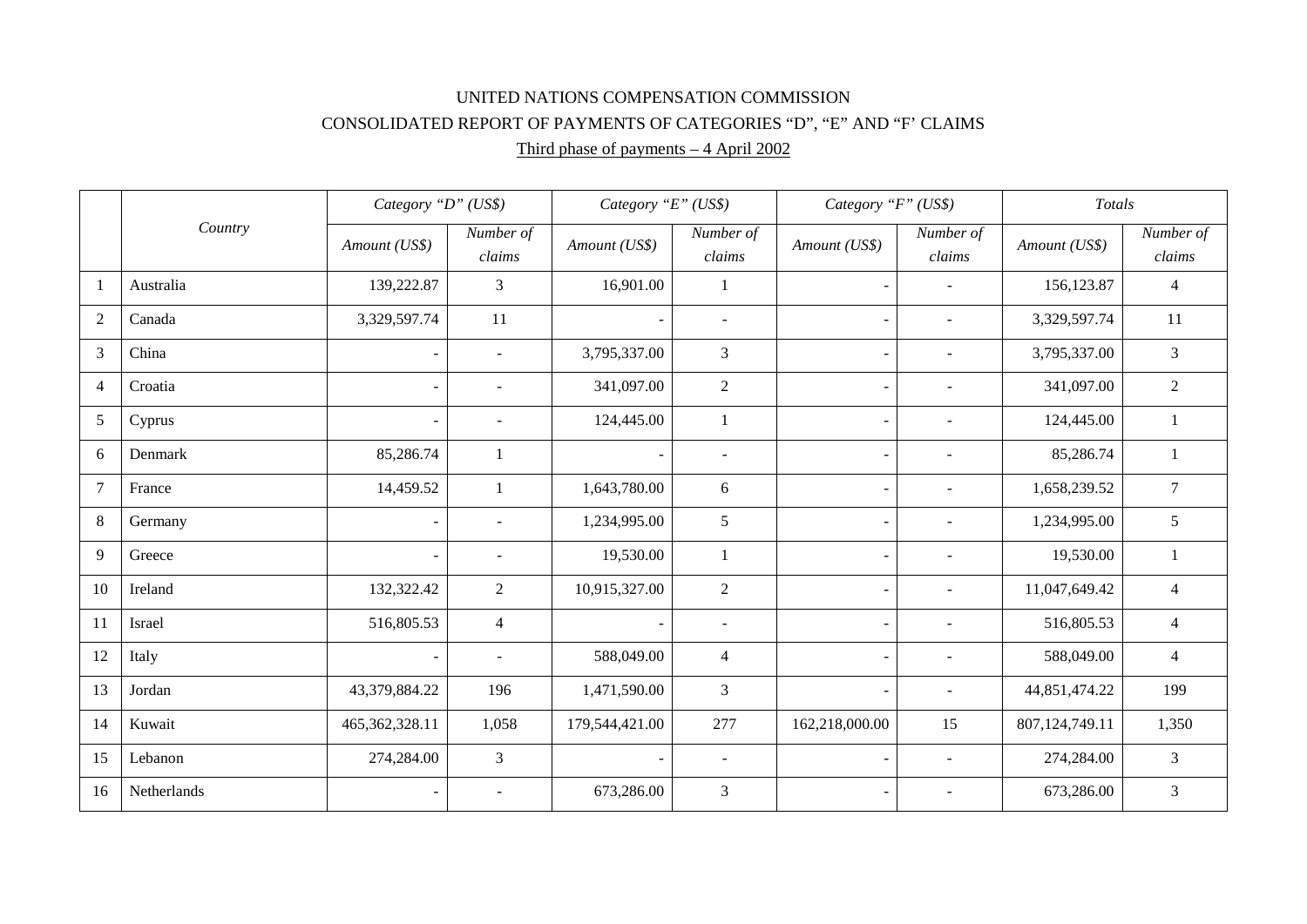# UNITED NATIONS COMPENSATION COMMISSION CONSOLIDATED REPORT OF PAYMENTS OF CATEGORIES "D", "E" AND "F' CLAIMS

# Third phase of payments – 4 April 2002

|                | Country     | Category "D" (US\$)      |                          | Category "E" (US\$)      |                          | Category "F" (US\$)      |                          | Totals         |                     |
|----------------|-------------|--------------------------|--------------------------|--------------------------|--------------------------|--------------------------|--------------------------|----------------|---------------------|
|                |             | Amount (US\$)            | Number of<br>claims      | Amount (US\$)            | Number of<br>claims      | Amount (US\$)            | Number of<br>claims      | Amount (US\$)  | Number of<br>claims |
|                | Australia   | 139,222.87               | $\overline{3}$           | 16,901.00                | 1                        |                          | $\sim$                   | 156,123.87     | $\overline{4}$      |
| 2              | Canada      | 3,329,597.74             | 11                       |                          | $\overline{\phantom{a}}$ |                          | $\sim$                   | 3,329,597.74   | 11                  |
| $\overline{3}$ | China       |                          | $\sim$                   | 3,795,337.00             | 3                        |                          | $\sim$                   | 3,795,337.00   | $\overline{3}$      |
| $\overline{4}$ | Croatia     |                          | $\sim$                   | 341,097.00               | $\overline{2}$           | $\blacksquare$           | $\sim$                   | 341,097.00     | $\overline{2}$      |
| 5              | Cyprus      |                          | $\blacksquare$           | 124,445.00               | $\mathbf{1}$             |                          | $\overline{\phantom{a}}$ | 124,445.00     | $\mathbf{1}$        |
| 6              | Denmark     | 85,286.74                | $\mathbf{1}$             |                          | $\overline{\phantom{a}}$ |                          | $\overline{\phantom{a}}$ | 85,286.74      | $\mathbf{1}$        |
| $\overline{7}$ | France      | 14,459.52                | $\mathbf{1}$             | 1,643,780.00             | 6                        | $\overline{\phantom{a}}$ | $\overline{\phantom{a}}$ | 1,658,239.52   | $\overline{7}$      |
| 8              | Germany     |                          | $\overline{\phantom{a}}$ | 1,234,995.00             | 5                        | $\overline{\phantom{a}}$ | $\sim$                   | 1,234,995.00   | 5                   |
| 9              | Greece      | $\overline{\phantom{a}}$ | $\overline{\phantom{a}}$ | 19,530.00                | $\mathbf{1}$             | $\overline{\phantom{a}}$ | $\overline{\phantom{a}}$ | 19,530.00      | $\mathbf{1}$        |
| 10             | Ireland     | 132,322.42               | $\overline{2}$           | 10,915,327.00            | $\overline{2}$           | $\overline{\phantom{a}}$ | $\overline{\phantom{a}}$ | 11,047,649.42  | $\overline{4}$      |
| 11             | Israel      | 516,805.53               | $\overline{4}$           | $\blacksquare$           | $\overline{\phantom{a}}$ | $\overline{\phantom{a}}$ | $\overline{\phantom{a}}$ | 516,805.53     | $\overline{4}$      |
| 12             | Italy       |                          | $\blacksquare$           | 588,049.00               | $\overline{4}$           | $\overline{\phantom{a}}$ | $\blacksquare$           | 588,049.00     | $\overline{4}$      |
| 13             | Jordan      | 43,379,884.22            | 196                      | 1,471,590.00             | 3                        | $\overline{\phantom{a}}$ | $\blacksquare$           | 44,851,474.22  | 199                 |
| 14             | Kuwait      | 465, 362, 328.11         | 1,058                    | 179,544,421.00           | 277                      | 162,218,000.00           | 15                       | 807,124,749.11 | 1,350               |
| 15             | Lebanon     | 274,284.00               | $\mathfrak{Z}$           | $\overline{\phantom{a}}$ | $\blacksquare$           | $\overline{\phantom{a}}$ | $\sim$                   | 274,284.00     | 3                   |
| 16             | Netherlands | $\sim$                   | $\overline{\phantom{a}}$ | 673,286.00               | 3                        | $\overline{\phantom{a}}$ | $\overline{\phantom{a}}$ | 673,286.00     | $\overline{3}$      |